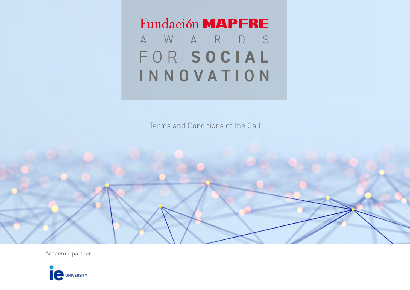Fundación MAPFRE AWARDS FOR **SOCIAL** INNOVATION

Terms and Conditions of the Call

Academic partner

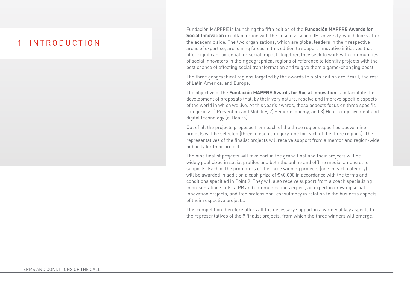### 1. INTRODUCTION

Fundación MAPFRE is launching the fifth edition of the **Fundación MAPFRE Awards for Social Innovation** in collaboration with the business school IE University, which looks after the academic side. The two organizations, which are global leaders in their respective areas of expertise, are joining forces in this edition to support innovative initiatives that offer significant potential for social impact. Together, they seek to work with communities of social innovators in their geographical regions of reference to identify projects with the best chance of effecting social transformation and to give them a game-changing boost.

The three geographical regions targeted by the awards this 5th edition are Brazil, the rest of Latin America, and Europe.

The objective of the **Fundación MAPFRE Awards for Social Innovation** is to facilitate the development of proposals that, by their very nature, resolve and improve specific aspects of the world in which we live. At this year's awards, these aspects focus on three specific categories: 1) Prevention and Mobility, 2) Senior economy, and 3) Health improvement and digital technology (e-Health).

Out of all the projects proposed from each of the three regions specified above, nine projects will be selected (three in each category, one for each of the three regions). The representatives of the finalist projects will receive support from a mentor and region-wide publicity for their project.

The nine finalist projects will take part in the grand final and their projects will be widely publicized in social profiles and both the online and offline media, among other supports. Each of the promoters of the three winning projects (one in each category) will be awarded in addition a cash prize of €40,000 in accordance with the terms and conditions specified in Point 9. They will also receive support from a coach specializing in presentation skills, a PR and communications expert, an expert in growing social innovation projects, and free professional consultancy in relation to the business aspects of their respective projects.

This competition therefore offers all the necessary support in a variety of key aspects to the representatives of the 9 finalist projects, from which the three winners will emerge.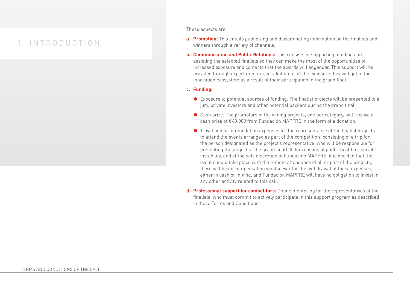### 1. INTRODUCTION

These aspects are:

- **a. Promotion:** This entails publicizing and disseminating information on the finalists and winners through a variety of channels.
- **b. Communication and Public Relations:** This consists of supporting, guiding and assisting the selected finalists so they can make the most of the opportunities of increased exposure and contacts that the awards will engender. This support will be provided through expert mentors, in addition to all the exposure they will get in the innovation ecosystem as a result of their participation in the grand final.

#### **c. Funding:**

- $\bullet$  Exposure to potential sources of funding: The finalist projects will be presented to a jury, private investors and other potential backers during the grand final.
- $\bullet$  Cash prize: The promotors of the wining projects, one per category, will receive a cash prize of €40,000 from Fundación MAPFRE in the form of a donation.
- $\bullet$  Travel and accommodation expenses for the representative of the finalist projects to attend the events arranged as part of the competition (consisting of a trip for the person designated as the project's representative, who will be responsible for presenting the project at the grand final). If, for reasons of public health or social instability, and at the sole discretion of Fundación MAPFRE, it is decided that the event should take place with the remote attendance of all or part of the projects, there will be no compensation whatsoever for the withdrawal of these expenses, either in cash or in kind, and Fundación MAPFRE will have no obligation to invest in any other activity related to this call.
- **d. Professional support for competitors:** Online mentoring for the representatives of the finalists, who must commit to actively participate in this support program as described in these Terms and Conditions.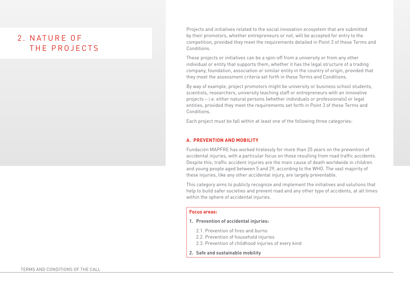Projects and initiatives related to the social innovation ecosystem that are submitted by their promotors, whether entrepreneurs or not, will be accepted for entry to the competition, provided they meet the requirements detailed in Point 3 of these Terms and Conditions.

These projects or initiatives can be a spin-off from a university or from any other individual or entity that supports them, whether it has the legal structure of a trading company, foundation, association or similar entity in the country of origin, provided that they meet the assessment criteria set forth in these Terms and Conditions.

By way of example, project promotors might be university or business school students, scientists, researchers, university teaching staff or entrepreneurs with an innovative projects – i.e. either natural persons (whether individuals or professionals) or legal entities, provided they meet the requirements set forth in Point 3 of these Terms and Conditions.

Each project must be fall within at least one of the following three categories:

### **A. PREVENTION AND MOBILITY**

Fundación MAPFRE has worked tirelessly for more than 25 years on the prevention of accidental injuries, with a particular focus on those resulting from road traffic accidents. Despite this, traffic accident injuries are the main cause of death worldwide in children and young people aged between 5 and 29, according to the WHO. The vast majority of these injuries, like any other accidental injury, are largely preventable.

This category aims to publicly recognize and implement the initiatives and solutions that help to build safer societies and prevent road and any other type of accidents, at all times within the sphere of accidental injuries.

#### **Focus areas:**

#### **1. Prevention of accidental injuries:**

- 2.1. Prevention of fires and burns
- 2.2. Prevention of household injuries
- 2.3. Prevention of childhood injuries of every kind
- **2. Safe and sustainable mobility**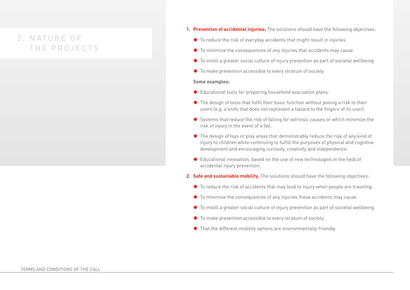- **1. Prevention of accidental injuries:** The solutions should have the following objectives:
	- $\bullet$  To reduce the risk of everyday accidents that might result in injuries
	- $\bullet$  To minimize the consequences of any injuries that accidents may cause
	- $\bullet$  To instill a greater social culture of injury prevention as part of societal wellbeing
	- $\bullet$  To make prevention accessible to every stratum of society.

#### **Some examples:**

- $\bullet$  Educational tools for preparing household evacuation plans.
- $\bullet$  The design of tools that fulfil their basic function without posing a risk to their users (e.g. a knife that does not represent a hazard to the fingers of its user).
- Systems that reduce the risk of falling for extrinsic causes or which minimize the risk of injury in the event of a fall.
- $\bullet$  The design of toys or play areas that demonstrably reduce the risk of any kind of injury to children while continuing to fulfill the purposes of physical and cognitive development and encouraging curiosity, creativity and independence.
- Educational innovation, based on the use of new technologies in the field of accidental injury prevention.
- **2. Safe and sustainable mobility.** The solutions should have the following objectives:
	- $\bullet$  To reduce the risk of accidents that may lead to injury when people are traveling.
	- $\bullet$  To minimize the consequences of any injuries these accidents may cause.
	- $\bullet$  To instill a greater social culture of injury prevention as part of societal wellbeing.
	- $\bullet$  To make prevention accessible to every stratum of society.
	- $\bullet$  That the different mobility options are environmentally-friendly.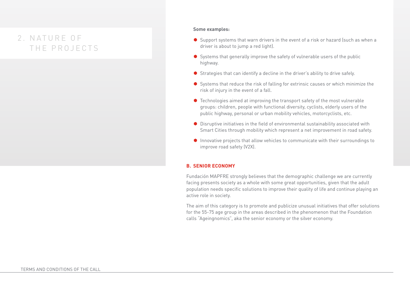#### **Some examples:**

- $\bullet$  Support systems that warn drivers in the event of a risk or hazard (such as when a driver is about to jump a red light).
- $\bullet$  Systems that generally improve the safety of vulnerable users of the public highway.
- $\bullet$  Strategies that can identify a decline in the driver's ability to drive safely.
- $\bullet$  Systems that reduce the risk of falling for extrinsic causes or which minimize the risk of injury in the event of a fall.
- $\bullet$  Technologies aimed at improving the transport safety of the most vulnerable groups: children, people with functional diversity, cyclists, elderly users of the public highway, personal or urban mobility vehicles, motorcyclists, etc.
- $\bullet$  Disruptive initiatives in the field of environmental sustainability associated with Smart Cities through mobility which represent a net improvement in road safety.
- $\bullet$  Innovative projects that allow vehicles to communicate with their surroundings to improve road safety (V2X).

### **B. SENIOR ECONOMY**

Fundación MAPFRE strongly believes that the demographic challenge we are currently facing presents society as a whole with some great opportunities, given that the adult population needs specific solutions to improve their quality of life and continue playing an active role in society.

The aim of this category is to promote and publicize unusual initiatives that offer solutions for the 55-75 age group in the areas described in the phenomenon that the Foundation calls "Ageingnomics", aka the senior economy or the silver economy.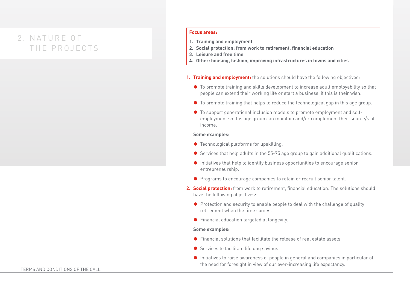#### **Focus areas:**

- **1. Training and employment**
- **2. Social protection: from work to retirement, financial education**
- **3. Leisure and free time**
- **4. Other: housing, fashion, improving infrastructures in towns and cities**
- **1. Training and employment:** the solutions should have the following objectives:
	- $\bullet$  To promote training and skills development to increase adult employability so that people can extend their working life or start a business, if this is their wish.
	- $\bullet$  To promote training that helps to reduce the technological gap in this age group.
	- To support generational inclusion models to promote employment and selfemployment so this age group can maintain and/or complement their source/s of income.

#### **Some examples:**

- $\bullet$  Technological platforms for upskilling.
- $\bullet$  Services that help adults in the 55-75 age group to gain additional qualifications.
- $\bullet$  Initiatives that help to identify business opportunities to encourage senior entrepreneurship.
- ◆ Programs to encourage companies to retain or recruit senior talent.
- **2. Social protection:** from work to retirement, financial education. The solutions should have the following objectives:
	- $\bullet$  Protection and security to enable people to deal with the challenge of quality retirement when the time comes.
	- $\bullet$  Financial education targeted at longevity.

#### **Some examples:**

- $\bullet$  Financial solutions that facilitate the release of real estate assets
- $\bullet$  Services to facilitate lifelong savings
- $\bullet$  Initiatives to raise awareness of people in general and companies in particular of the need for foresight in view of our ever-increasing life expectancy.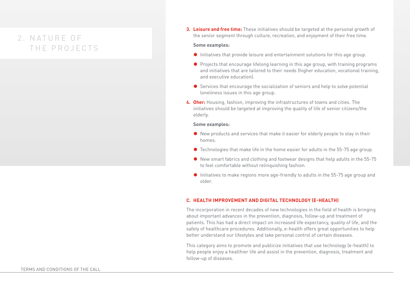**3. Leisure and free time:** These initiatives should be targeted at the personal growth of the senior segment through culture, recreation, and enjoyment of their free time.

#### **Some examples:**

- $\bullet$  Initiatives that provide leisure and entertainment solutions for this age group.
- $\bullet$  Projects that encourage lifelong learning in this age group, with training programs and initiatives that are tailored to their needs (higher education, vocational training, and executive education).
- $\bullet$  Services that encourage the socialization of seniors and help to solve potential loneliness issues in this age group.
- **4. Oher:** Housing, fashion, improving the infrastructures of towns and cities. The initiatives should be targeted at improving the quality of life of senior citizens/the elderly.

#### **Some examples:**

- $\bullet$  New products and services that make it easier for elderly people to stay in their homes.
- $\bullet$  Technologies that make life in the home easier for adults in the 55-75 age group.
- $\bullet$  New smart fabrics and clothing and footwear designs that help adults in the 55-75 to feel comfortable without relinquishing fashion.
- $\bullet$  Initiatives to make regions more age-friendly to adults in the 55-75 age group and older.

### **C. HEALTH IMPROVEMENT AND DIGITAL TECHNOLOGY (E-HEALTH)**

The incorporation in recent decades of new technologies in the field of health is bringing about important advances in the prevention, diagnosis, follow-up and treatment of patients. This has had a direct impact on increased life expectancy, quality of life, and the safety of healthcare procedures. Additionally, e-health offers great opportunities to help better understand our lifestyles and take personal control of certain diseases.

This category aims to promote and publicize initiatives that use technology (e-health) to help people enjoy a healthier life and assist in the prevention, diagnosis, treatment and follow-up of diseases.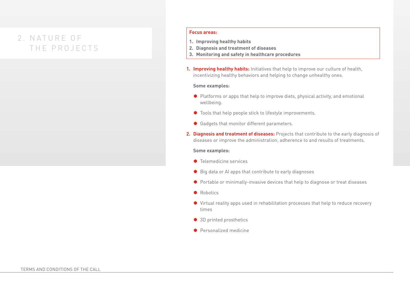#### **Focus areas:**

- **1. Improving healthy habits**
- **2. Diagnosis and treatment of diseases**
- **3. Monitoring and safety in healthcare procedures**
- **1. Improving healthy habits:** Initiatives that help to improve our culture of health, incentivizing healthy behaviors and helping to change unhealthy ones.

### **Some examples:**

- $\bullet$  Platforms or apps that help to improve diets, physical activity, and emotional wellbeing.
- $\bullet$  Tools that help people stick to lifestyle improvements.
- Gadgets that monitor different parameters.
- **2. Diagnosis and treatment of diseases:** Projects that contribute to the early diagnosis of diseases or improve the administration, adherence to and results of treatments.

#### **Some examples:**

- $\bullet$  Telemedicine services
- $\bullet$  Big data or AI apps that contribute to early diagnoses
- Portable or minimally-invasive devices that help to diagnose or treat diseases
- $\bullet$  Robotics
- ◆ Virtual reality apps used in rehabilitation processes that help to reduce recovery times
- 3D printed prosthetics
- $\bullet$  Personalized medicine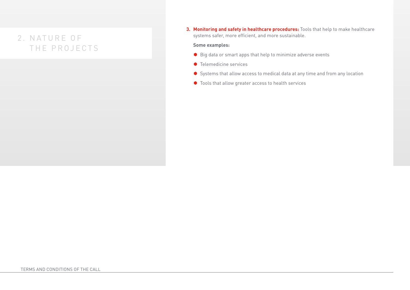**3. Monitoring and safety in healthcare procedures:** Tools that help to make healthcare systems safer, more efficient, and more sustainable.

### **Some examples:**

- Big data or smart apps that help to minimize adverse events
- Telemedicine services
- ◆ Systems that allow access to medical data at any time and from any location
- $\bullet$  Tools that allow greater access to health services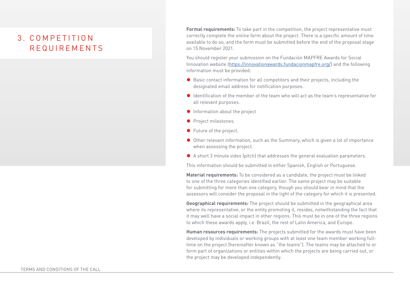# 3. C O M P E T I T I O N REQUIREMENTS

**Formal requirements:** To take part in the competition, the project representative must correctly complete the online form about the project. There is a specific amount of time available to do so, and the form must be submitted before the end of the proposal stage on 15 November 2021.

You should register your submission on the Fundación MAPFRE Awards for Social Innovation website [\(https://innovationawards.fundacionmapfre.org/](https://innovationawards.fundacionmapfre.org/)) and the following information must be provided:

- Basic contact information for all competitors and their projects, including the designated email address for notification purposes.
- $\bullet$  Identification of the member of the team who will act as the team's representative for all relevant purposes.
- $\bullet$  Information about the project
- **Project milestones.**
- $\bullet$  Future of the project.
- $\bullet$  Other relevant information, such as the Summary, which is given a lot of importance when assessing the project.
- $\bullet$  A short 3 minute video (pitch) that addresses the general evaluation parameters.

This information should be submitted in either Spanish, English or Portuguese.

**Material requirements:** To be considered as a candidate, the project must be linked to one of the three categories identified earlier. The same project may be suitable for submitting for more than one category, though you should bear in mind that the assessors will consider the proposal in the light of the category for which it is presented.

**Geographical requirements:** The project should be submitted in the geographical area where its representative, or the entity promoting it, resides, notwithstanding the fact that it may well have a social impact in other regions. This must be in one of the three regions to which these awards apply, i.e. Brazil, the rest of Latin America, and Europe.

**Human resources requirements:** The projects submitted for the awards must have been developed by individuals or working groups with at least one team member working fulltime on the project (hereinafter known as "the teams"). The teams may be attached to or form part of organizations or entities within which the projects are being carried out, or the project may be developed independently.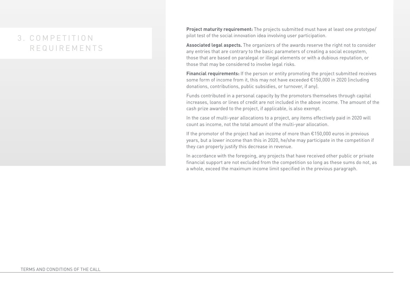# 3. COMPETITION REQUIREMENTS

**Project maturity requirement:** The projects submitted must have at least one prototype/ pilot test of the social innovation idea involving user participation.

**Associated legal aspects.** The organizers of the awards reserve the right not to consider any entries that are contrary to the basic parameters of creating a social ecosystem, those that are based on paralegal or illegal elements or with a dubious reputation, or those that may be considered to involve legal risks.

**Financial requirements:** If the person or entity promoting the project submitted receives some form of income from it, this may not have exceeded €150,000 in 2020 (including donations, contributions, public subsidies, or turnover, if any).

Funds contributed in a personal capacity by the promotors themselves through capital increases, loans or lines of credit are not included in the above income. The amount of the cash prize awarded to the project, if applicable, is also exempt.

In the case of multi-year allocations to a project, any items effectively paid in 2020 will count as income, not the total amount of the multi-year allocation.

If the promotor of the project had an income of more than  $\epsilon$ 150,000 euros in previous years, but a lower income than this in 2020, he/she may participate in the competition if they can properly justify this decrease in revenue.

In accordance with the foregoing, any projects that have received other public or private financial support are not excluded from the competition so long as these sums do not, as a whole, exceed the maximum income limit specified in the previous paragraph.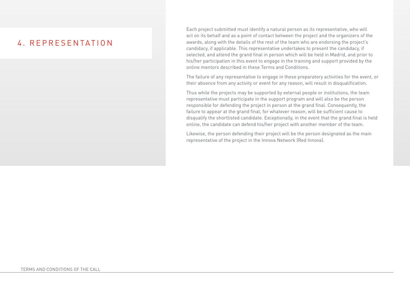### 4. REPRESENTATION

Each project submitted must identify a natural person as its representative, who will act on its behalf and as a point of contact between the project and the organizers of the awards, along with the details of the rest of the team who are endorsing the project's candidacy, if applicable. This representative undertakes to present the candidacy, if selected, and attend the grand final in person which will be held in Madrid, and prior to his/her participation in this event to engage in the training and support provided by the online mentors described in these Terms and Conditions.

The failure of any representative to engage in these preparatory activities for the event, or their absence from any activity or event for any reason, will result in disqualification.

Thus while the projects may be supported by external people or institutions, the team representative must participate in the support program and will also be the person responsible for defending the project in person at the grand final. Consequently, the failure to appear at the grand final, for whatever reason, will be sufficient cause to disqualify the shortlisted candidate. Exceptionally, in the event that the grand final is held online, the candidate can defend his/her project with another member of the team.

Likewise, the person defending their project will be the person designated as the main representative of the project in the Innova Network (Red Innova).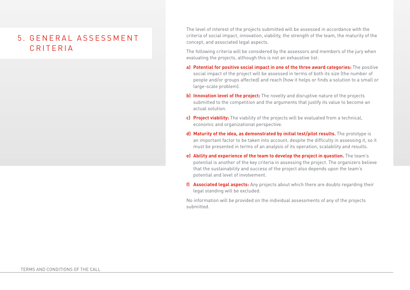# 5. GENERAL A S S E S S M E N T CRITERIA

The level of interest of the projects submitted will be assessed in accordance with the criteria of social impact, innovation, viability, the strength of the team, the maturity of the concept, and associated legal aspects.

The following criteria will be considered by the assessors and members of the jury when evaluating the projects, although this is not an exhaustive list:

- **a) Potential for positive social impact in one of the three award categories:** The positive social impact of the project will be assessed in terms of both its size (the number of people and/or groups affected) and reach (how it helps or finds a solution to a small or large-scale problem).
- **b) Innovation level of the project:** The novelty and disruptive nature of the projects submitted to the competition and the arguments that justify its value to become an actual solution.
- **c) Project viability:** The viability of the projects will be evaluated from a technical, economic and organizational perspective.
- **d) Maturity of the idea, as demonstrated by initial test/pilot results.** The prototype is an important factor to be taken into account, despite the difficulty in assessing it, so it must be presented in terms of an analysis of its operation, scalability and results.
- **e) Ability and experience of the team to develop the project in question.** The team's potential is another of the key criteria in assessing the project. The organizers believe that the sustainability and success of the project also depends upon the team's potential and level of involvement.
- **f) Associated legal aspects:** Any projects about which there are doubts regarding their legal standing will be excluded.

No information will be provided on the individual assessments of any of the projects submitted.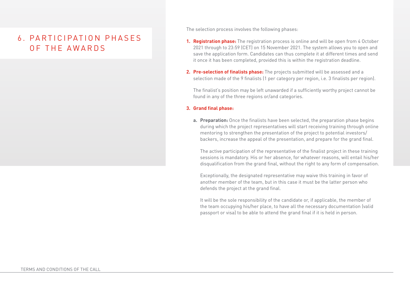### 6. PA R T I C I PAT I O N P H A S E S OF THE AWARDS

The selection process involves the following phases:

- **1. Registration phase:** The registration process is online and will be open from 4 October 2021 through to 23:59 (CET) on 15 November 2021. The system allows you to open and save the application form. Candidates can thus complete it at different times and send it once it has been completed, provided this is within the registration deadline.
- **2. Pre-selection of finalists phase:** The projects submitted will be assessed and a selection made of the 9 finalists (1 per category per region, i.e. 3 finalists per region).

The finalist's position may be left unawarded if a sufficiently worthy project cannot be found in any of the three regions or/and categories.

### **3. Grand final phase:**

**a. Preparation:** Once the finalists have been selected, the preparation phase begins during which the project representatives will start receiving training through online mentoring to strengthen the presentation of the project to potential investors/ backers, increase the appeal of the presentation, and prepare for the grand final.

The active participation of the representative of the finalist project in these training sessions is mandatory. His or her absence, for whatever reasons, will entail his/her disqualification from the grand final, without the right to any form of compensation.

Exceptionally, the designated representative may waive this training in favor of another member of the team, but in this case it must be the latter person who defends the project at the grand final.

It will be the sole responsibility of the candidate or, if applicable, the member of the team occupying his/her place, to have all the necessary documentation (valid passport or visa) to be able to attend the grand final if it is held in person.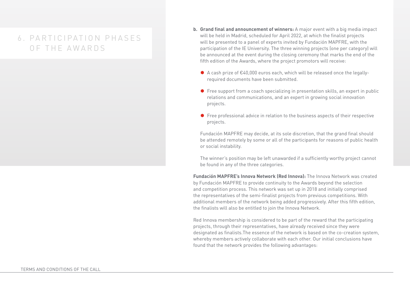### 6. PARTICIPATION PHASES OF THE AWARDS

- **b. Grand final and announcement of winners:** A major event with a big media impact will be held in Madrid, scheduled for April 2022, at which the finalist projects will be presented to a panel of experts invited by Fundación MAPFRE, with the participation of the IE University. The three winning projects (one per category) will be announced at the event during the closing ceremony that marks the end of the fifth edition of the Awards, where the project promotors will receive:
	- ◆ A cash prize of €40,000 euros each, which will be released once the legallyrequired documents have been submitted.
	- $\bullet$  Free support from a coach specializing in presentation skills, an expert in public relations and communications, and an expert in growing social innovation projects.
	- $\bullet$  Free professional advice in relation to the business aspects of their respective projects.

Fundación MAPFRE may decide, at its sole discretion, that the grand final should be attended remotely by some or all of the participants for reasons of public health or social instability.

The winner's position may be left unawarded if a sufficiently worthy project cannot be found in any of the three categories.

**Fundación MAPFRE's Innova Network (Red Innova):** The Innova Network was created by Fundación MAPFRE to provide continuity to the Awards beyond the selection and competition process. This network was set up in 2018 and initially comprised the representatives of the semi-finalist projects from previous competitions. With additional members of the network being added progressively. After this fifth edition, the finalists will also be entitled to join the Innova Network.

Red Innova membership is considered to be part of the reward that the participating projects, through their representatives, have already received since they were designated as finalists.The essence of the network is based on the co-creation system, whereby members actively collaborate with each other. Our initial conclusions have found that the network provides the following advantages: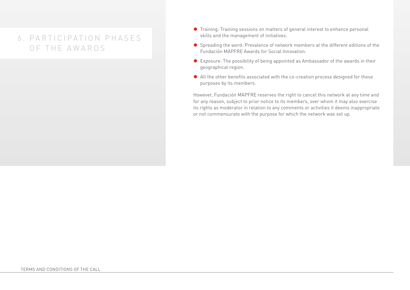## 6. PARTICIPATION PHASES OF THE AWARDS

- Training: Training sessions on matters of general interest to enhance personal skills and the management of initiatives.
- Spreading the word: Prevalence of network members at the different editions of the Fundación MAPFRE Awards for Social Innovation.
- Exposure: The possibility of being appointed as Ambassador of the awards in their geographical region.
- All the other benefits associated with the co-creation process designed for these purposes by its members.

However, Fundación MAPFRE reserves the right to cancel this network at any time and for any reason, subject to prior notice to its members, over whom it may also exercise its rights as moderator in relation to any comments or activities it deems inappropriate or not commensurate with the purpose for which the network was set up.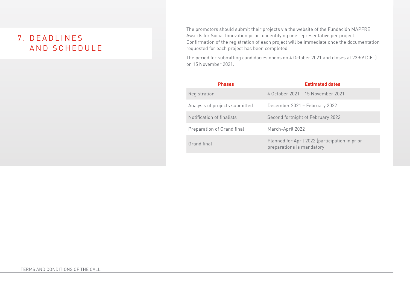# 7. D E A D L I N E S AND SCHEDULE

The promotors should submit their projects via the website of the Fundación MAPFRE Awards for Social Innovation prior to identifying one representative per project. Confirmation of the registration of each project will be immediate once the documentation requested for each project has been completed.

The period for submitting candidacies opens on 4 October 2021 and closes at 23:59 (CET) on 15 November 2021.

| <b>Phases</b>                  | <b>Estimated dates</b>                                                       |
|--------------------------------|------------------------------------------------------------------------------|
| Registration                   | 4 October 2021 – 15 November 2021                                            |
| Analysis of projects submitted | December 2021 – February 2022                                                |
| Notification of finalists      | Second fortnight of February 2022                                            |
| Preparation of Grand final     | March-April 2022                                                             |
| Grand final                    | Planned for April 2022 (participation in prior<br>preparations is mandatory) |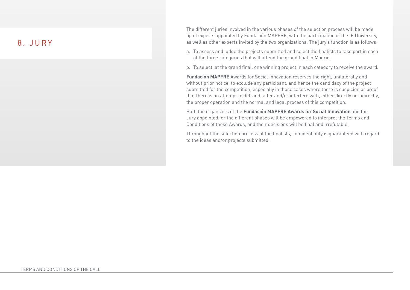### 8. JURY

The different juries involved in the various phases of the selection process will be made up of experts appointed by Fundación MAPFRE, with the participation of the IE University, as well as other experts invited by the two organizations. The jury's function is as follows:

- a. To assess and judge the projects submitted and select the finalists to take part in each of the three categories that will attend the grand final in Madrid.
- b. To select, at the grand final, one winning project in each category to receive the award.

**Fundación MAPFRE** Awards for Social Innovation reserves the right, unilaterally and without prior notice, to exclude any participant, and hence the candidacy of the project submitted for the competition, especially in those cases where there is suspicion or proof that there is an attempt to defraud, alter and/or interfere with, either directly or indirectly, the proper operation and the normal and legal process of this competition.

Both the organizers of the **Fundación MAPFRE Awards for Social Innovation** and the Jury appointed for the different phases will be empowered to interpret the Terms and Conditions of these Awards, and their decisions will be final and irrefutable.

Throughout the selection process of the finalists, confidentiality is guaranteed with regard to the ideas and/or projects submitted.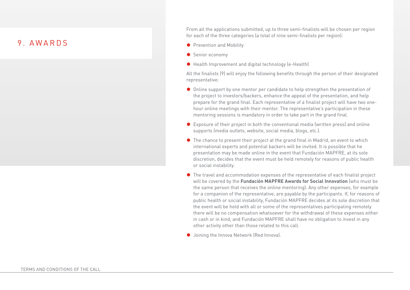### 9. AWARDS

From all the applications submitted, up to three semi-finalists will be chosen per region for each of the three categories (a total of nine semi-finalists per region):

- Prevention and Mobility
- $\bullet$  Senior economy
- $\bullet$  Health Improvement and digital technology (e-Health)

All the finalists (9) will enjoy the following benefits through the person of their designated representative:

- $\bullet$  Online support by one mentor per candidate to help strengthen the presentation of the project to investors/backers, enhance the appeal of the presentation, and help prepare for the grand final. Each representative of a finalist project will have two onehour online meetings with their mentor. The representative's participation in these mentoring sessions is mandatory in order to take part in the grand final.
- $\bullet$  Exposure of their project in both the conventional media (written press) and online supports (media outlets, website, social media, blogs, etc.).
- $\bullet$  The chance to present their project at the grand final in Madrid, an event to which international experts and potential backers will be invited. It is possible that he presentation may be made online in the event that Fundación MAPFRE, at its sole discretion, decides that the event must be held remotely for reasons of public health or social instability.
- $\bullet$  The travel and accommodation expenses of the representative of each finalist project will be covered by the **Fundación MAPFRE Awards for Social Innovation** (who must be the same person that receives the online mentoring). Any other expenses, for example for a companion of the representative, are payable by the participants. If, for reasons of public health or social instability, Fundación MAPFRE decides at its sole discretion that the event will be held with all or some of the representatives participating remotely there will be no compensation whatsoever for the withdrawal of these expenses either in cash or in kind, and Fundación MAPFRE shall have no obligation to invest in any other activity other than those related to this call.
- Joining the Innova Network (Red Innova).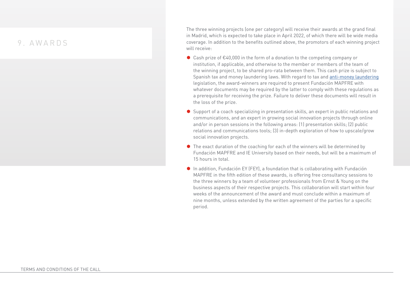### 9. AWARDS

The three winning projects (one per category) will receive their awards at the grand final in Madrid, which is expected to take place in April 2022, of which there will be wide media coverage. In addition to the benefits outlined above, the promotors of each winning project will receive:

- $\bullet$  Cash prize of €40,000 in the form of a donation to the competing company or institution, if applicable, and otherwise to the member or members of the team of the winning project, to be shared pro-rata between them. This cash prize is subject to Spanish tax and money laundering laws. With regard to tax and anti-money laundering legislation, the award-winners are required to present Fundación MAPFRE with whatever documents may be required by the latter to comply with these regulations as a prerequisite for receiving the prize. Failure to deliver these documents will result in the loss of the prize.
- $\bullet$  Support of a coach specializing in presentation skills, an expert in public relations and communications, and an expert in growing social innovation projects through online and/or in person sessions in the following areas: (1) presentation skills; (2) public relations and communications tools; (3) in-depth exploration of how to upscale/grow social innovation projects.
- $\bullet$  The exact duration of the coaching for each of the winners will be determined by Fundación MAPFRE and IE University based on their needs, but will be a maximum of 15 hours in total.
- In addition, Fundación EY (FEY), a foundation that is collaborating with Fundación MAPFRE in the fifth edition of these awards, is offering free consultancy sessions to the three winners by a team of volunteer professionals from Ernst & Young on the business aspects of their respective projects. This collaboration will start within four weeks of the announcement of the award and must conclude within a maximum of nine months, unless extended by the written agreement of the parties for a specific period.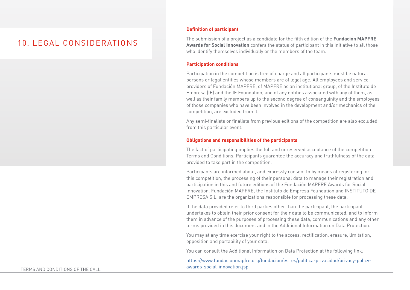### 10. LEGAL CONSIDERATIONS

### **Definition of participant**

The submission of a project as a candidate for the fifth edition of the **Fundación MAPFRE Awards for Social Innovation** confers the status of participant in this initiative to all those who identify themselves individually or the members of the team.

#### **Participation conditions**

Participation in the competition is free of charge and all participants must be natural persons or legal entities whose members are of legal age. All employees and service providers of Fundación MAPFRE, of MAPFRE as an institutional group, of the Instituto de Empresa (IE) and the IE Foundation, and of any entities associated with any of them, as well as their family members up to the second degree of consanguinity and the employees of those companies who have been involved in the development and/or mechanics of the competition, are excluded from it.

Any semi-finalists or finalists from previous editions of the competition are also excluded from this particular event.

### **Obligations and responsibilities of the participants**

The fact of participating implies the full and unreserved acceptance of the competition Terms and Conditions. Participants guarantee the accuracy and truthfulness of the data provided to take part in the competition.

Participants are informed about, and expressly consent to by means of registering for this competition, the processing of their personal data to manage their registration and participation in this and future editions of the Fundación MAPFRE Awards for Social Innovation. Fundación MAPFRE, the Instituto de Empresa Foundation and INSTITUTO DE EMPRESA S.L. are the organizations responsible for processing these data.

If the data provided refer to third parties other than the participant, the participant undertakes to obtain their prior consent for their data to be communicated, and to inform them in advance of the purposes of processing these data, communications and any other terms provided in this document and in the Additional Information on Data Protection.

You may at any time exercise your right to the access, rectification, erasure, limitation, opposition and portability of your data.

You can consult the Additional Information on Data Protection at the following link:

[https://www.fundacionmapfre.org/fundacion/es\\_es/politica-privacidad/privacy-policy](https://www.fundacionmapfre.org/fundacion/es_es/politica-privacidad/privacy-policy-awards-social-innovation.jsp)[awards-social-innovation.jsp](https://www.fundacionmapfre.org/fundacion/es_es/politica-privacidad/privacy-policy-awards-social-innovation.jsp)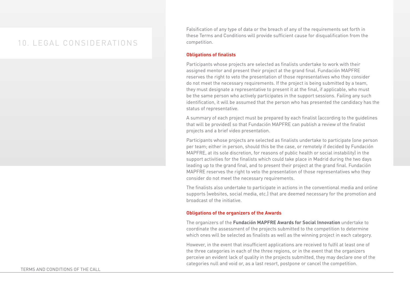### 10. LEGAL CONSIDERATIONS

Falsification of any type of data or the breach of any of the requirements set forth in these Terms and Conditions will provide sufficient cause for disqualification from the competition.

#### **Obligations of finalists**

Participants whose projects are selected as finalists undertake to work with their assigned mentor and present their project at the grand final. Fundación MAPFRE reserves the right to veto the presentation of those representatives who they consider do not meet the necessary requirements. If the project is being submitted by a team, they must designate a representative to present it at the final, if applicable, who must be the same person who actively participates in the support sessions. Failing any such identification, it will be assumed that the person who has presented the candidacy has the status of representative.

A summary of each project must be prepared by each finalist (according to the guidelines that will be provided) so that Fundación MAPFRE can publish a review of the finalist projects and a brief video presentation.

Participants whose projects are selected as finalists undertake to participate (one person per team; either in person, should this be the case, or remotely if decided by Fundación MAPFRE, at its sole discretion, for reasons of public health or social instability) in the support activities for the finalists which could take place in Madrid during the two days leading up to the grand final, and to present their project at the grand final. Fundación MAPFRE reserves the right to veto the presentation of those representatives who they consider do not meet the necessary requirements.

The finalists also undertake to participate in actions in the conventional media and online supports (websites, social media, etc.) that are deemed necessary for the promotion and broadcast of the initiative.

### **Obligations of the organizers of the Awards**

The organizers of the **Fundación MAPFRE Awards for Social Innovation** undertake to coordinate the assessment of the projects submitted to the competition to determine which ones will be selected as finalists as well as the winning project in each category.

However, in the event that insufficient applications are received to fulfil at least one of the three categories in each of the three regions, or in the event that the organizers perceive an evident lack of quality in the projects submitted, they may declare one of the categories null and void or, as a last resort, postpone or cancel the competition.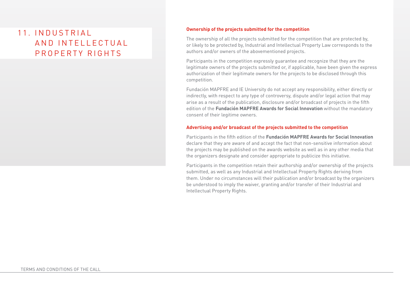# 11. IN DUSTRIAL A N D IN TELLECTUAL PROPERTY RIGHTS

### **Ownership of the projects submitted for the competition**

The ownership of all the projects submitted for the competition that are protected by, or likely to be protected by, Industrial and Intellectual Property Law corresponds to the authors and/or owners of the abovementioned projects.

Participants in the competition expressly guarantee and recognize that they are the legitimate owners of the projects submitted or, if applicable, have been given the express authorization of their legitimate owners for the projects to be disclosed through this competition.

Fundación MAPFRE and IE University do not accept any responsibility, either directly or indirectly, with respect to any type of controversy, dispute and/or legal action that may arise as a result of the publication, disclosure and/or broadcast of projects in the fifth edition of the **Fundación MAPFRE Awards for Social Innovation** without the mandatory consent of their legitime owners.

#### **Advertising and/or broadcast of the projects submitted to the competition**

Participants in the fifth edition of the **Fundación MAPFRE Awards for Social Innovation**  declare that they are aware of and accept the fact that non-sensitive information about the projects may be published on the awards website as well as in any other media that the organizers designate and consider appropriate to publicize this initiative.

Participants in the competition retain their authorship and/or ownership of the projects submitted, as well as any Industrial and Intellectual Property Rights deriving from them. Under no circumstances will their publication and/or broadcast by the organizers be understood to imply the waiver, granting and/or transfer of their Industrial and Intellectual Property Rights.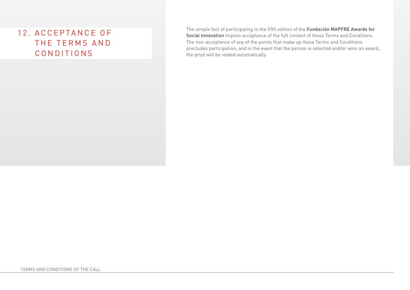# 12. A C C E P TA N C E O F THE TERMS AND CONDITIONS

The simple fact of participating in the fifth edition of the **Fundación MAPFRE Awards for Social Innovation** implies acceptance of the full content of these Terms and Conditions. The non-acceptance of any of the points that make up these Terms and Conditions precludes participation, and in the event that the person is selected and/or wins an award, the prize will be voided automatically.